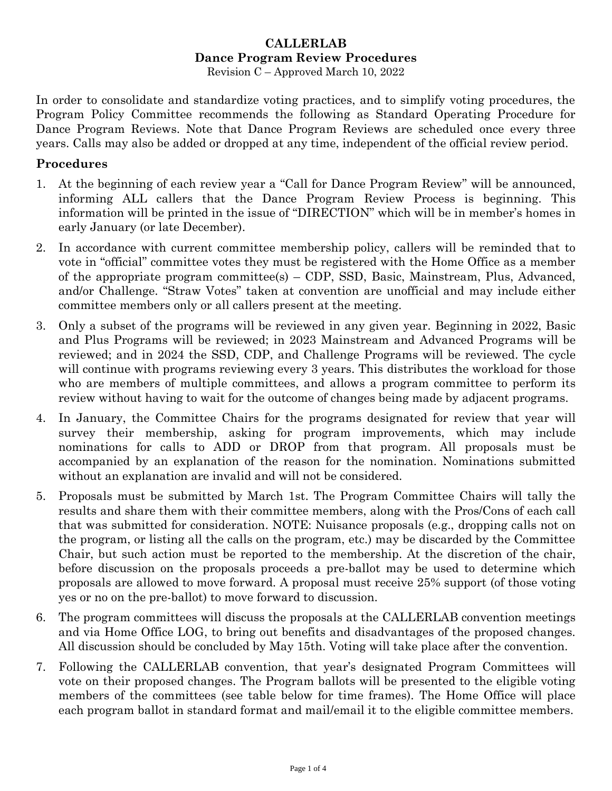# **CALLERLAB Dance Program Review Procedures**

Revision C – Approved March 10, 2022

In order to consolidate and standardize voting practices, and to simplify voting procedures, the Program Policy Committee recommends the following as Standard Operating Procedure for Dance Program Reviews. Note that Dance Program Reviews are scheduled once every three years. Calls may also be added or dropped at any time, independent of the official review period.

## **Procedures**

- 1. At the beginning of each review year a "Call for Dance Program Review" will be announced, informing ALL callers that the Dance Program Review Process is beginning. This information will be printed in the issue of "DIRECTION" which will be in member's homes in early January (or late December).
- 2. In accordance with current committee membership policy, callers will be reminded that to vote in "official" committee votes they must be registered with the Home Office as a member of the appropriate program committee(s) – CDP, SSD, Basic, Mainstream, Plus, Advanced, and/or Challenge. "Straw Votes" taken at convention are unofficial and may include either committee members only or all callers present at the meeting.
- 3. Only a subset of the programs will be reviewed in any given year. Beginning in 2022, Basic and Plus Programs will be reviewed; in 2023 Mainstream and Advanced Programs will be reviewed; and in 2024 the SSD, CDP, and Challenge Programs will be reviewed. The cycle will continue with programs reviewing every 3 years. This distributes the workload for those who are members of multiple committees, and allows a program committee to perform its review without having to wait for the outcome of changes being made by adjacent programs.
- 4. In January, the Committee Chairs for the programs designated for review that year will survey their membership, asking for program improvements, which may include nominations for calls to ADD or DROP from that program. All proposals must be accompanied by an explanation of the reason for the nomination. Nominations submitted without an explanation are invalid and will not be considered.
- 5. Proposals must be submitted by March 1st. The Program Committee Chairs will tally the results and share them with their committee members, along with the Pros/Cons of each call that was submitted for consideration. NOTE: Nuisance proposals (e.g., dropping calls not on the program, or listing all the calls on the program, etc.) may be discarded by the Committee Chair, but such action must be reported to the membership. At the discretion of the chair, before discussion on the proposals proceeds a pre-ballot may be used to determine which proposals are allowed to move forward. A proposal must receive 25% support (of those voting yes or no on the pre-ballot) to move forward to discussion.
- 6. The program committees will discuss the proposals at the CALLERLAB convention meetings and via Home Office LOG, to bring out benefits and disadvantages of the proposed changes. All discussion should be concluded by May 15th. Voting will take place after the convention.
- 7. Following the CALLERLAB convention, that year's designated Program Committees will vote on their proposed changes. The Program ballots will be presented to the eligible voting members of the committees (see table below for time frames). The Home Office will place each program ballot in standard format and mail/email it to the eligible committee members.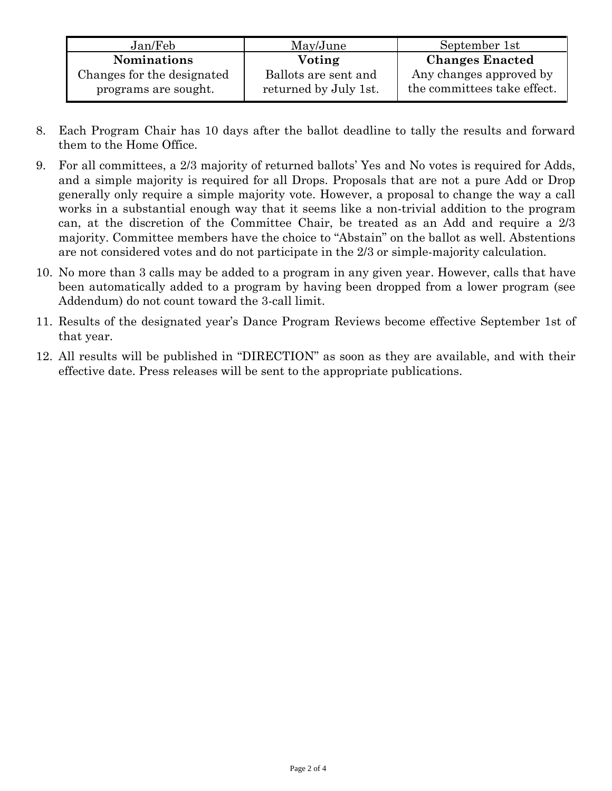| Jan/Feb                    | May/June              | September 1st               |
|----------------------------|-----------------------|-----------------------------|
| <b>Nominations</b>         | Voting                | <b>Changes Enacted</b>      |
| Changes for the designated | Ballots are sent and  | Any changes approved by     |
| programs are sought.       | returned by July 1st. | the committees take effect. |

- 8. Each Program Chair has 10 days after the ballot deadline to tally the results and forward them to the Home Office.
- 9. For all committees, a 2/3 majority of returned ballots' Yes and No votes is required for Adds, and a simple majority is required for all Drops. Proposals that are not a pure Add or Drop generally only require a simple majority vote. However, a proposal to change the way a call works in a substantial enough way that it seems like a non-trivial addition to the program can, at the discretion of the Committee Chair, be treated as an Add and require a 2/3 majority. Committee members have the choice to "Abstain" on the ballot as well. Abstentions are not considered votes and do not participate in the 2/3 or simple-majority calculation.
- 10. No more than 3 calls may be added to a program in any given year. However, calls that have been automatically added to a program by having been dropped from a lower program (see Addendum) do not count toward the 3-call limit.
- 11. Results of the designated year's Dance Program Reviews become effective September 1st of that year.
- 12. All results will be published in "DIRECTION" as soon as they are available, and with their effective date. Press releases will be sent to the appropriate publications.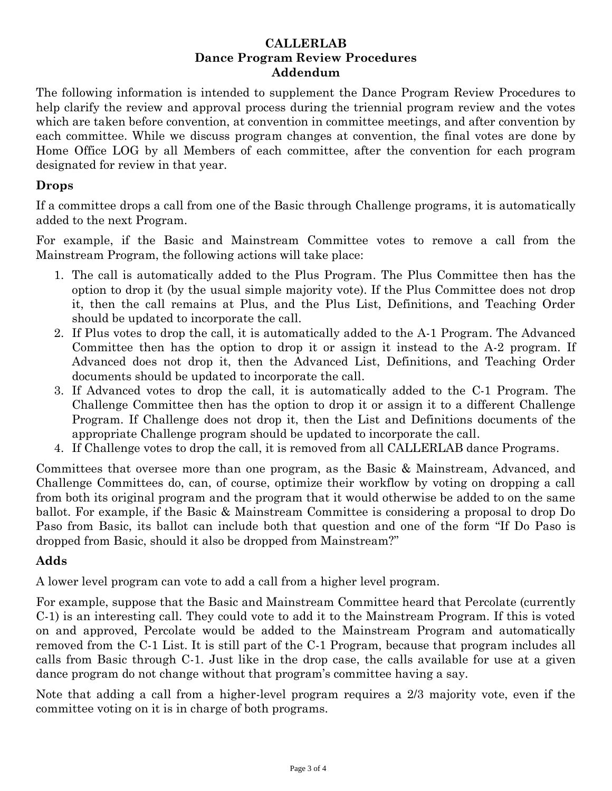#### **CALLERLAB Dance Program Review Procedures Addendum**

The following information is intended to supplement the Dance Program Review Procedures to help clarify the review and approval process during the triennial program review and the votes which are taken before convention, at convention in committee meetings, and after convention by each committee. While we discuss program changes at convention, the final votes are done by Home Office LOG by all Members of each committee, after the convention for each program designated for review in that year.

#### **Drops**

If a committee drops a call from one of the Basic through Challenge programs, it is automatically added to the next Program.

For example, if the Basic and Mainstream Committee votes to remove a call from the Mainstream Program, the following actions will take place:

- 1. The call is automatically added to the Plus Program. The Plus Committee then has the option to drop it (by the usual simple majority vote). If the Plus Committee does not drop it, then the call remains at Plus, and the Plus List, Definitions, and Teaching Order should be updated to incorporate the call.
- 2. If Plus votes to drop the call, it is automatically added to the A-1 Program. The Advanced Committee then has the option to drop it or assign it instead to the A-2 program. If Advanced does not drop it, then the Advanced List, Definitions, and Teaching Order documents should be updated to incorporate the call.
- 3. If Advanced votes to drop the call, it is automatically added to the C-1 Program. The Challenge Committee then has the option to drop it or assign it to a different Challenge Program. If Challenge does not drop it, then the List and Definitions documents of the appropriate Challenge program should be updated to incorporate the call.
- 4. If Challenge votes to drop the call, it is removed from all CALLERLAB dance Programs.

Committees that oversee more than one program, as the Basic & Mainstream, Advanced, and Challenge Committees do, can, of course, optimize their workflow by voting on dropping a call from both its original program and the program that it would otherwise be added to on the same ballot. For example, if the Basic & Mainstream Committee is considering a proposal to drop Do Paso from Basic, its ballot can include both that question and one of the form "If Do Paso is dropped from Basic, should it also be dropped from Mainstream?"

## **Adds**

A lower level program can vote to add a call from a higher level program.

For example, suppose that the Basic and Mainstream Committee heard that Percolate (currently C-1) is an interesting call. They could vote to add it to the Mainstream Program. If this is voted on and approved, Percolate would be added to the Mainstream Program and automatically removed from the C-1 List. It is still part of the C-1 Program, because that program includes all calls from Basic through C-1. Just like in the drop case, the calls available for use at a given dance program do not change without that program's committee having a say.

Note that adding a call from a higher-level program requires a 2/3 majority vote, even if the committee voting on it is in charge of both programs.